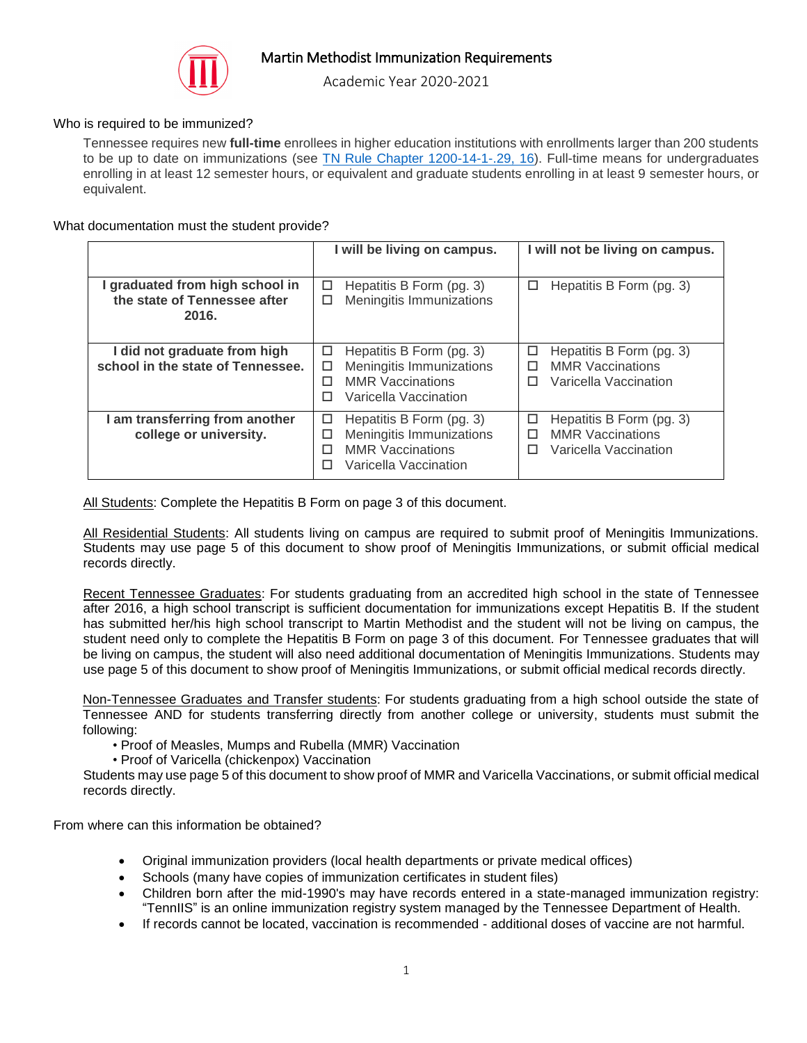

Academic Year 2020-2021

## Who is required to be immunized?

Tennessee requires new **full-time** enrollees in higher education institutions with enrollments larger than 200 students to be up to date on immunizations (see [TN Rule Chapter 1200-14-1-.29, 16\)](https://www.tn.gov/content/dam/tn/health/documents/immunizationrequirements/tenniis/1200-14-01.20131128.pdf). Full-time means for undergraduates enrolling in at least 12 semester hours, or equivalent and graduate students enrolling in at least 9 semester hours, or equivalent.

## What documentation must the student provide?

|                                                                          | I will be living on campus.                                                                                                  | I will not be living on campus.                                                             |
|--------------------------------------------------------------------------|------------------------------------------------------------------------------------------------------------------------------|---------------------------------------------------------------------------------------------|
| I graduated from high school in<br>the state of Tennessee after<br>2016. | Hepatitis B Form (pg. 3)<br>□<br>Meningitis Immunizations<br>□                                                               | Hepatitis B Form (pg. 3)<br>□                                                               |
| I did not graduate from high<br>school in the state of Tennessee.        | Hepatitis B Form (pg. 3)<br>□<br>Meningitis Immunizations<br>□<br><b>MMR Vaccinations</b><br>п<br>Varicella Vaccination<br>П | Hepatitis B Form (pg. 3)<br>□<br><b>MMR Vaccinations</b><br>п<br>Varicella Vaccination<br>п |
| I am transferring from another<br>college or university.                 | Hepatitis B Form (pg. 3)<br>□<br>Meningitis Immunizations<br>□<br><b>MMR Vaccinations</b><br>п<br>Varicella Vaccination<br>п | Hepatitis B Form (pg. 3)<br>□<br><b>MMR Vaccinations</b><br>п<br>Varicella Vaccination<br>п |

All Students: Complete the Hepatitis B Form on page 3 of this document.

All Residential Students: All students living on campus are required to submit proof of Meningitis Immunizations. Students may use page 5 of this document to show proof of Meningitis Immunizations, or submit official medical records directly.

Recent Tennessee Graduates: For students graduating from an accredited high school in the state of Tennessee after 2016, a high school transcript is sufficient documentation for immunizations except Hepatitis B. If the student has submitted her/his high school transcript to Martin Methodist and the student will not be living on campus, the student need only to complete the Hepatitis B Form on page 3 of this document. For Tennessee graduates that will be living on campus, the student will also need additional documentation of Meningitis Immunizations. Students may use page 5 of this document to show proof of Meningitis Immunizations, or submit official medical records directly.

Non-Tennessee Graduates and Transfer students: For students graduating from a high school outside the state of Tennessee AND for students transferring directly from another college or university, students must submit the following:

- Proof of Measles, Mumps and Rubella (MMR) Vaccination
- Proof of Varicella (chickenpox) Vaccination

Students may use page 5 of this document to show proof of MMR and Varicella Vaccinations, or submit official medical records directly.

From where can this information be obtained?

- Original immunization providers (local health departments or private medical offices)
- Schools (many have copies of immunization certificates in student files)
- Children born after the mid-1990's may have records entered in a state-managed immunization registry: "TennIIS" is an online immunization registry system managed by the Tennessee Department of Health.
- If records cannot be located, vaccination is recommended additional doses of vaccine are not harmful.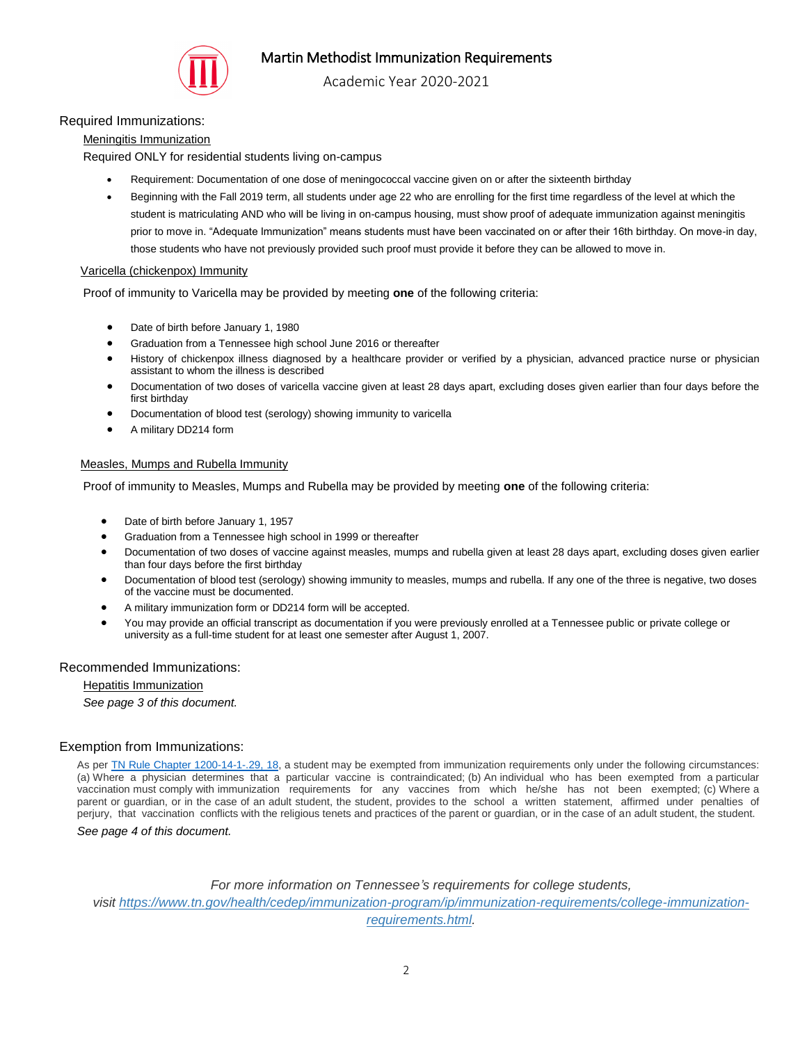

Academic Year 2020-2021

## Required Immunizations:

### Meningitis Immunization

Required ONLY for residential students living on-campus

- Requirement: Documentation of one dose of meningococcal vaccine given on or after the sixteenth birthday
- Beginning with the Fall 2019 term, all students under age 22 who are enrolling for the first time regardless of the level at which the student is matriculating AND who will be living in on-campus housing, must show proof of adequate immunization against meningitis prior to move in. "Adequate Immunization" means students must have been vaccinated on or after their 16th birthday. On move-in day, those students who have not previously provided such proof must provide it before they can be allowed to move in.

### Varicella (chickenpox) Immunity

Proof of immunity to Varicella may be provided by meeting **one** of the following criteria:

- Date of birth before January 1, 1980
- Graduation from a Tennessee high school June 2016 or thereafter
- History of chickenpox illness diagnosed by a healthcare provider or verified by a physician, advanced practice nurse or physician assistant to whom the illness is described
- Documentation of two doses of varicella vaccine given at least 28 days apart, excluding doses given earlier than four days before the first birthday
- Documentation of blood test (serology) showing immunity to varicella
- A military DD214 form

### Measles, Mumps and Rubella Immunity

Proof of immunity to Measles, Mumps and Rubella may be provided by meeting **one** of the following criteria:

- Date of birth before January 1, 1957
- Graduation from a Tennessee high school in 1999 or thereafter
- Documentation of two doses of vaccine against measles, mumps and rubella given at least 28 days apart, excluding doses given earlier than four days before the first birthday
- Documentation of blood test (serology) showing immunity to measles, mumps and rubella. If any one of the three is negative, two doses of the vaccine must be documented.
- A military immunization form or DD214 form will be accepted.
- You may provide an official transcript as documentation if you were previously enrolled at a Tennessee public or private college or university as a full-time student for at least one semester after August 1, 2007.

### Recommended Immunizations:

#### Hepatitis Immunization

*See page 3 of this document.*

## Exemption from Immunizations:

As per [TN Rule Chapter 1200-14-1-.29, 18,](https://www.tn.gov/content/dam/tn/health/documents/immunizationrequirements/tenniis/1200-14-01.20131128.pdf) a student may be exempted from immunization requirements only under the following circumstances: (a) Where a physician determines that a particular vaccine is contraindicated; (b) An individual who has been exempted from a particular vaccination must comply with immunization requirements for any vaccines from which he/she has not been exempted; (c) Where a parent or guardian, or in the case of an adult student, the student, provides to the school a written statement, affirmed under penalties of perjury, that vaccination conflicts with the religious tenets and practices of the parent or guardian, or in the case of an adult student, the student.

*See page 4 of this document.*

*For more information on Tennessee's requirements for college students, visit [https://www.tn.gov/health/cedep/immunization-program/ip/immunization-requirements/college-immunization](https://www.tn.gov/health/cedep/immunization-program/ip/immunization-requirements/college-immunization-requirements.html)[requirements.html.](https://www.tn.gov/health/cedep/immunization-program/ip/immunization-requirements/college-immunization-requirements.html)*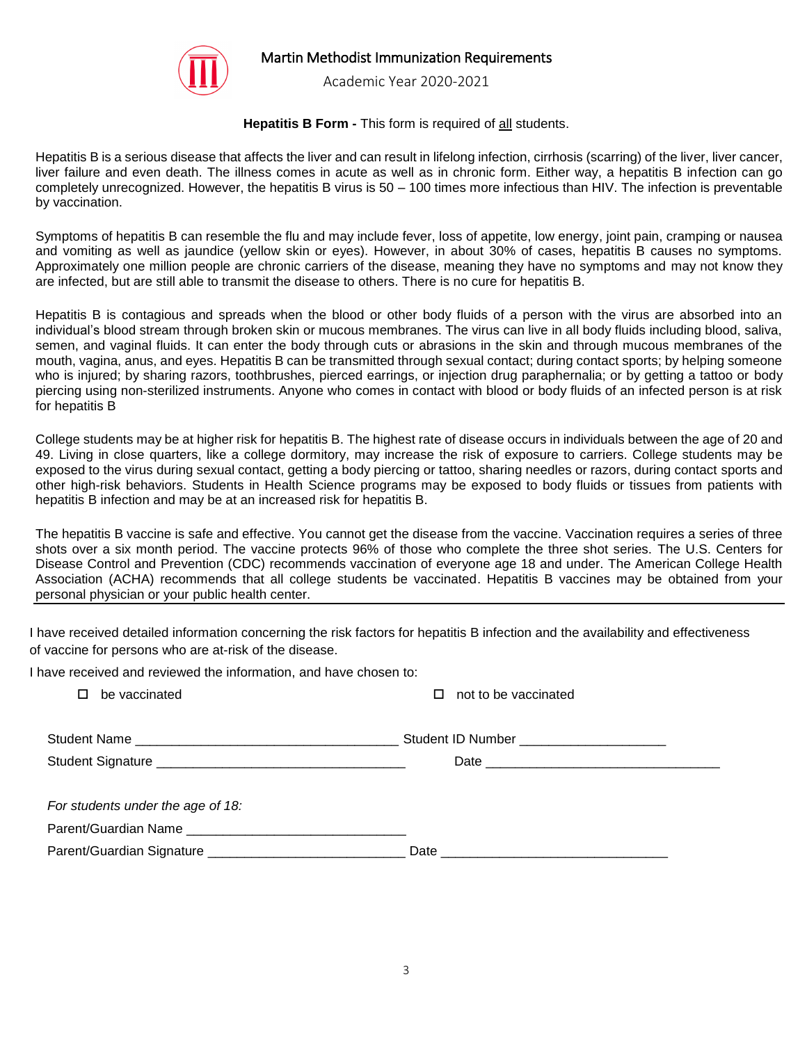

Academic Year 2020-2021

## **Hepatitis B Form - This form is required of all students.**

Hepatitis B is a serious disease that affects the liver and can result in lifelong infection, cirrhosis (scarring) of the liver, liver cancer, liver failure and even death. The illness comes in acute as well as in chronic form. Either way, a hepatitis B infection can go completely unrecognized. However, the hepatitis B virus is 50 – 100 times more infectious than HIV. The infection is preventable by vaccination.

Symptoms of hepatitis B can resemble the flu and may include fever, loss of appetite, low energy, joint pain, cramping or nausea and vomiting as well as jaundice (yellow skin or eyes). However, in about 30% of cases, hepatitis B causes no symptoms. Approximately one million people are chronic carriers of the disease, meaning they have no symptoms and may not know they are infected, but are still able to transmit the disease to others. There is no cure for hepatitis B.

Hepatitis B is contagious and spreads when the blood or other body fluids of a person with the virus are absorbed into an individual's blood stream through broken skin or mucous membranes. The virus can live in all body fluids including blood, saliva, semen, and vaginal fluids. It can enter the body through cuts or abrasions in the skin and through mucous membranes of the mouth, vagina, anus, and eyes. Hepatitis B can be transmitted through sexual contact; during contact sports; by helping someone who is injured; by sharing razors, toothbrushes, pierced earrings, or injection drug paraphernalia; or by getting a tattoo or body piercing using non-sterilized instruments. Anyone who comes in contact with blood or body fluids of an infected person is at risk for hepatitis B

College students may be at higher risk for hepatitis B. The highest rate of disease occurs in individuals between the age of 20 and 49. Living in close quarters, like a college dormitory, may increase the risk of exposure to carriers. College students may be exposed to the virus during sexual contact, getting a body piercing or tattoo, sharing needles or razors, during contact sports and other high-risk behaviors. Students in Health Science programs may be exposed to body fluids or tissues from patients with hepatitis B infection and may be at an increased risk for hepatitis B.

The hepatitis B vaccine is safe and effective. You cannot get the disease from the vaccine. Vaccination requires a series of three shots over a six month period. The vaccine protects 96% of those who complete the three shot series. The U.S. Centers for Disease Control and Prevention (CDC) recommends vaccination of everyone age 18 and under. The American College Health Association (ACHA) recommends that all college students be vaccinated. Hepatitis B vaccines may be obtained from your personal physician or your public health center.

I have received detailed information concerning the risk factors for hepatitis B infection and the availability and effectiveness of vaccine for persons who are at-risk of the disease.

I have received and reviewed the information, and have chosen to:

| be vaccinated                     | not to be vaccinated                        |
|-----------------------------------|---------------------------------------------|
|                                   | Student ID Number _________________________ |
|                                   |                                             |
| For students under the age of 18: |                                             |
| Parent/Guardian Name              |                                             |
|                                   |                                             |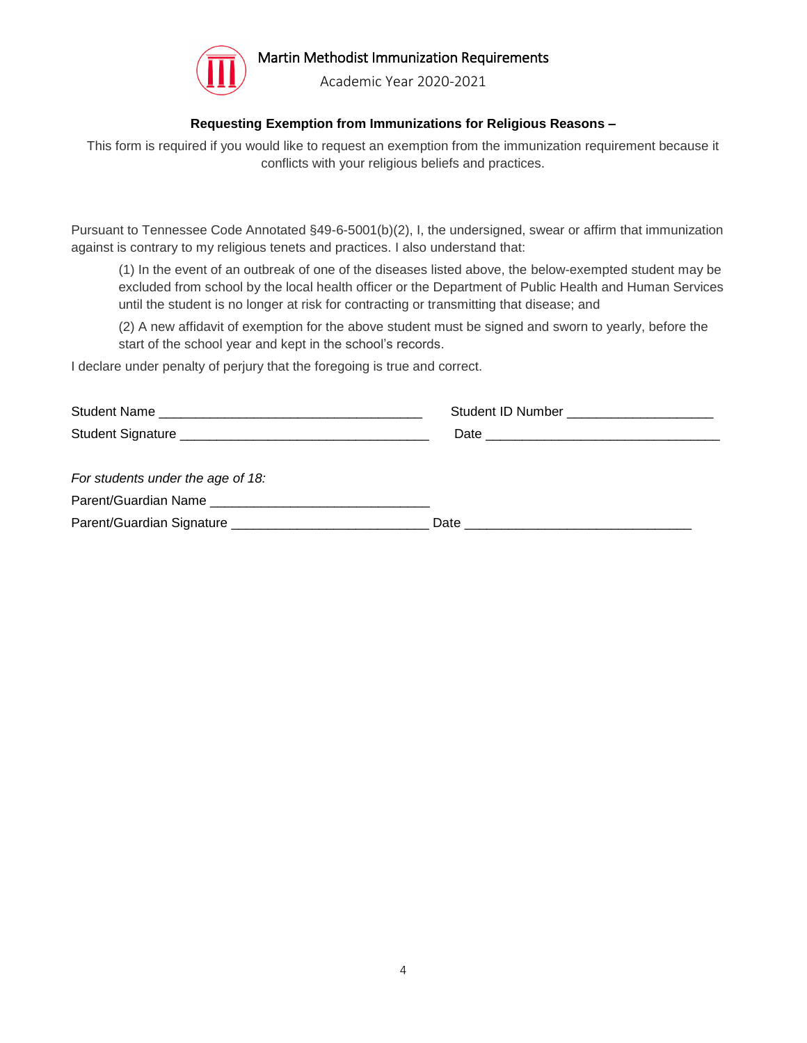

Academic Year 2020-2021

## **Requesting Exemption from Immunizations for Religious Reasons –**

This form is required if you would like to request an exemption from the immunization requirement because it conflicts with your religious beliefs and practices.

Pursuant to Tennessee Code Annotated §49-6-5001(b)(2), I, the undersigned, swear or affirm that immunization against is contrary to my religious tenets and practices. I also understand that:

(1) In the event of an outbreak of one of the diseases listed above, the below-exempted student may be excluded from school by the local health officer or the Department of Public Health and Human Services until the student is no longer at risk for contracting or transmitting that disease; and

(2) A new affidavit of exemption for the above student must be signed and sworn to yearly, before the start of the school year and kept in the school's records.

I declare under penalty of perjury that the foregoing is true and correct.

|                                   | Student ID Number ________________________ |
|-----------------------------------|--------------------------------------------|
|                                   |                                            |
|                                   |                                            |
| For students under the age of 18: |                                            |
|                                   |                                            |
|                                   |                                            |